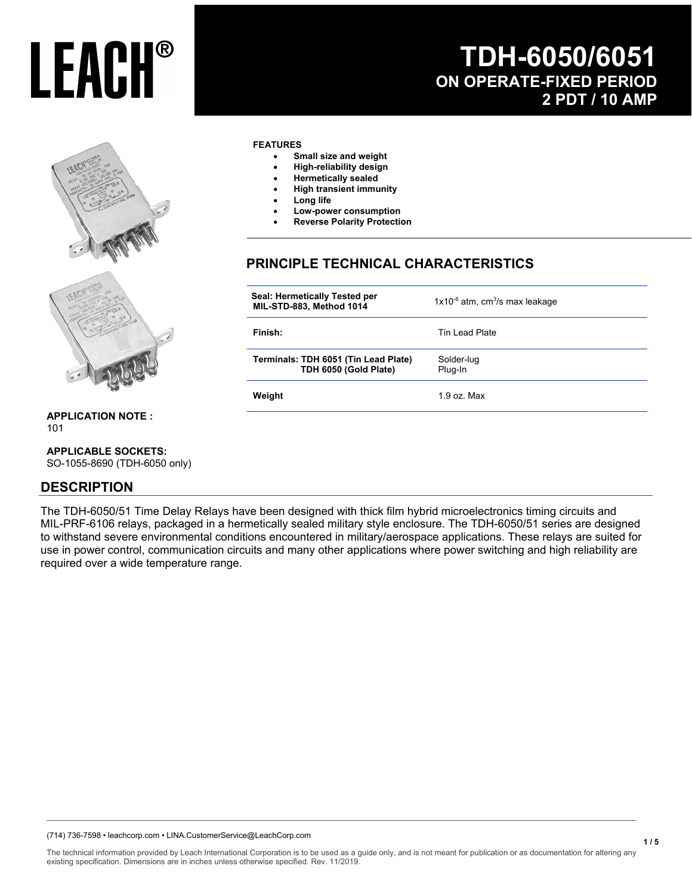## **TDH-6050/6051 ON OPERATE-FIXED PERIOD 2 PDT / 10 AMP**



#### **FEATURES**

- **Small size and weight**
- **High-reliability design**
- **Hermetically sealed**
- **High transient immunity**
- **Long life**
- **Low-power consumption**
- **Reverse Polarity Protection**

## **PRINCIPLE TECHNICAL CHARACTERISTICS**

| Seal: Hermetically Tested per<br>MIL-STD-883, Method 1014     | $1x10^{-6}$ atm, cm <sup>3</sup> /s max leakage |
|---------------------------------------------------------------|-------------------------------------------------|
| Finish:                                                       | Tin Lead Plate                                  |
| Terminals: TDH 6051 (Tin Lead Plate)<br>TDH 6050 (Gold Plate) | Solder-lug<br>Plug-In                           |
| Weight                                                        | $1.9$ oz. Max                                   |
|                                                               |                                                 |

**APPLICATION NOTE :**  101

#### **APPLICABLE SOCKETS:**

SO-1055-8690 (TDH-6050 only)

### **DESCRIPTION**

The TDH-6050/51 Time Delay Relays have been designed with thick film hybrid microelectronics timing circuits and MIL-PRF-6106 relays, packaged in a hermetically sealed military style enclosure. The TDH-6050/51 series are designed to withstand severe environmental conditions encountered in military/aerospace applications. These relays are suited for use in power control, communication circuits and many other applications where power switching and high reliability are required over a wide temperature range.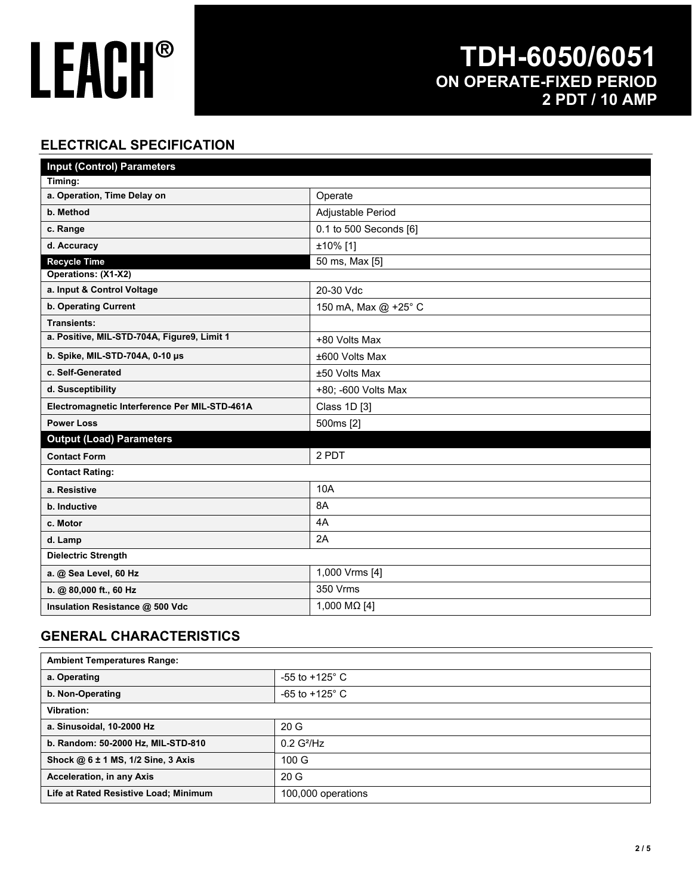## **TDH-6050/6051 ON OPERATE-FIXED PERIOD 2 PDT / 10 AMP**

## **ELECTRICAL SPECIFICATION**

| <b>Input (Control) Parameters</b>             |                        |  |  |
|-----------------------------------------------|------------------------|--|--|
| Timing:                                       |                        |  |  |
| a. Operation, Time Delay on                   | Operate                |  |  |
| b. Method                                     | Adjustable Period      |  |  |
| c. Range                                      | 0.1 to 500 Seconds [6] |  |  |
| d. Accuracy                                   | ±10% [1]               |  |  |
| <b>Recycle Time</b>                           | 50 ms, Max [5]         |  |  |
| Operations: (X1-X2)                           |                        |  |  |
| a. Input & Control Voltage                    | 20-30 Vdc              |  |  |
| <b>b. Operating Current</b>                   | 150 mA, Max @ +25° C   |  |  |
| <b>Transients:</b>                            |                        |  |  |
| a. Positive, MIL-STD-704A, Figure9, Limit 1   | +80 Volts Max          |  |  |
| b. Spike, MIL-STD-704A, 0-10 µs               | ±600 Volts Max         |  |  |
| c. Self-Generated                             | ±50 Volts Max          |  |  |
| d. Susceptibility                             | +80; -600 Volts Max    |  |  |
| Electromagnetic Interference Per MIL-STD-461A | Class 1D [3]           |  |  |
| <b>Power Loss</b>                             | 500ms [2]              |  |  |
| <b>Output (Load) Parameters</b>               |                        |  |  |
| <b>Contact Form</b>                           | 2 PDT                  |  |  |
| <b>Contact Rating:</b>                        |                        |  |  |
| a. Resistive                                  | 10A                    |  |  |
| b. Inductive                                  | 8A                     |  |  |
| c. Motor                                      | 4A                     |  |  |
| d. Lamp                                       | 2A                     |  |  |
| <b>Dielectric Strength</b>                    |                        |  |  |
| a. @ Sea Level, 60 Hz                         | 1,000 Vrms [4]         |  |  |
| b. @ 80,000 ft., 60 Hz                        | 350 Vrms               |  |  |
| Insulation Resistance @ 500 Vdc               | 1,000 MΩ [4]           |  |  |

### **GENERAL CHARACTERISTICS**

| <b>Ambient Temperatures Range:</b>    |                           |  |
|---------------------------------------|---------------------------|--|
| a. Operating                          | -55 to +125 $^{\circ}$ C  |  |
| b. Non-Operating                      | $-65$ to $+125^{\circ}$ C |  |
| Vibration:                            |                           |  |
| a. Sinusoidal, 10-2000 Hz             | 20G                       |  |
| b. Random: 50-2000 Hz, MIL-STD-810    | $0.2$ G <sup>2</sup> /Hz  |  |
| Shock @ 6 ± 1 MS, 1/2 Sine, 3 Axis    | 100 <sub>G</sub>          |  |
| Acceleration, in any Axis             | 20 <sub>G</sub>           |  |
| Life at Rated Resistive Load; Minimum | 100,000 operations        |  |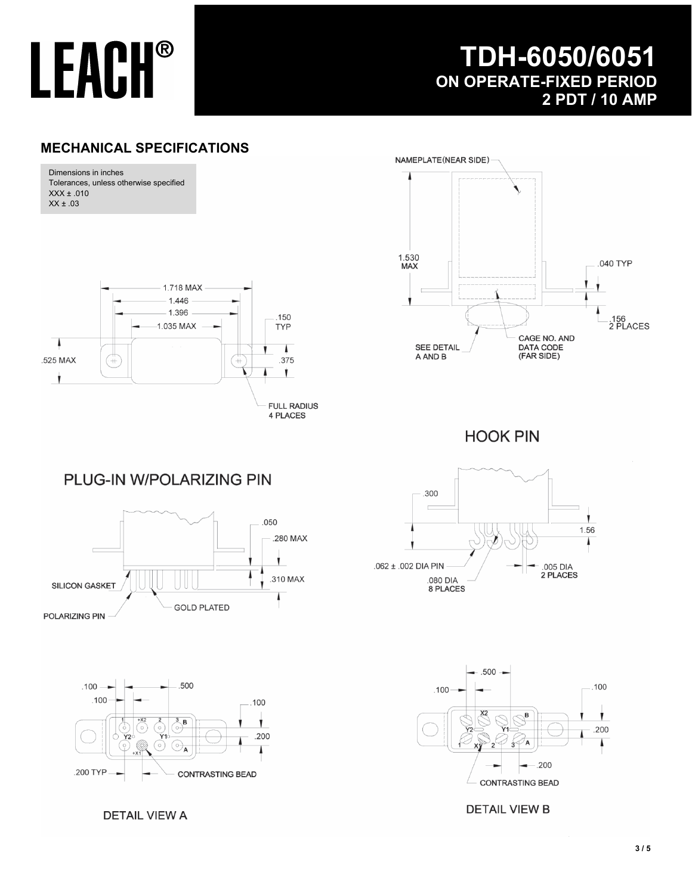

## **TDH-6050/6051 ON OPERATE-FIXED PERIOD 2 PDT / 10 AMP**

### **MECHANICAL SPECIFICATIONS**



**DETAIL VIEW A** 

**DETAIL VIEW B**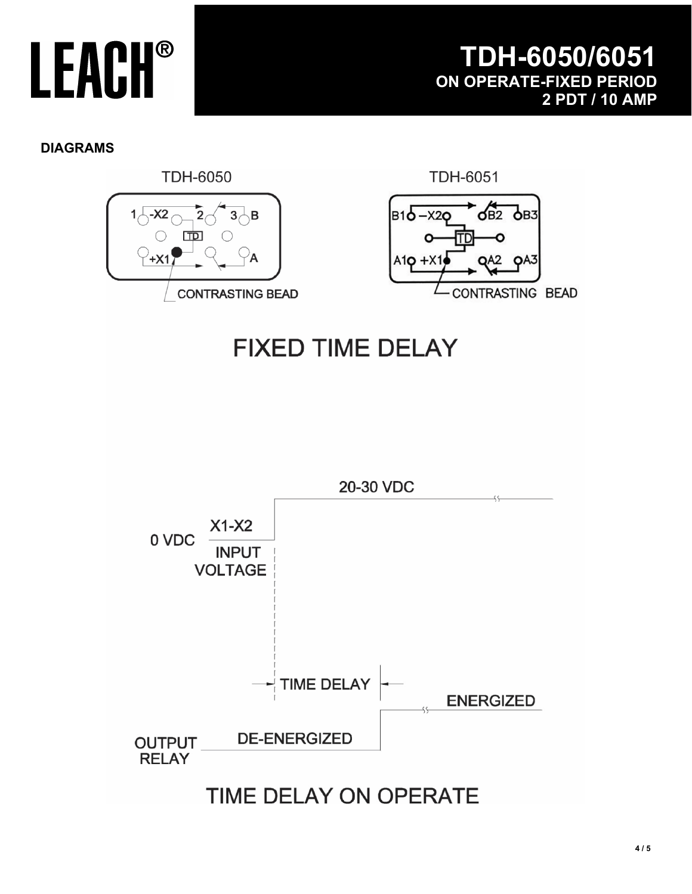### **DIAGRAMS**



## TIME DELAY ON OPERATE